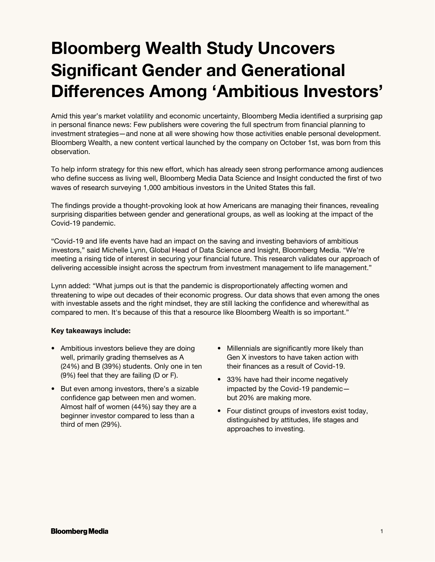# **Bloomberg Wealth Study Uncovers Significant Gender and Generational Differences Among 'Ambitious Investors'**

Amid this year's market volatility and economic uncertainty, Bloomberg Media identified a surprising gap in personal finance news: Few publishers were covering the full spectrum from financial planning to investment strategies—and none at all were showing how those activities enable personal development. Bloomberg Wealth, a new content vertical launched by the company on October 1st, was born from this observation.

To help inform strategy for this new effort, which has already seen strong performance among audiences who define success as living well, Bloomberg Media Data Science and Insight conducted the first of two waves of research surveying 1,000 ambitious investors in the United States this fall.

The findings provide a thought-provoking look at how Americans are managing their finances, revealing surprising disparities between gender and generational groups, as well as looking at the impact of the Covid-19 pandemic.

"Covid-19 and life events have had an impact on the saving and investing behaviors of ambitious investors," said Michelle Lynn, Global Head of Data Science and Insight, Bloomberg Media. "We're meeting a rising tide of interest in securing your financial future. This research validates our approach of delivering accessible insight across the spectrum from investment management to life management."

Lynn added: "What jumps out is that the pandemic is disproportionately affecting women and threatening to wipe out decades of their economic progress. Our data shows that even among the ones with investable assets and the right mindset, they are still lacking the confidence and wherewithal as compared to men. It's because of this that a resource like Bloomberg Wealth is so important."

## **Key takeaways include:**

- Ambitious investors believe they are doing well, primarily grading themselves as A (24%) and B (39%) students. Only one in ten (9%) feel that they are failing (D or F).
- But even among investors, there's a sizable confidence gap between men and women. Almost half of women (44%) say they are a beginner investor compared to less than a third of men (29%).
- Millennials are significantly more likely than Gen X investors to have taken action with their finances as a result of Covid-19.
- 33% have had their income negatively impacted by the Covid-19 pandemic but 20% are making more.
- Four distinct groups of investors exist today, distinguished by attitudes, life stages and approaches to investing.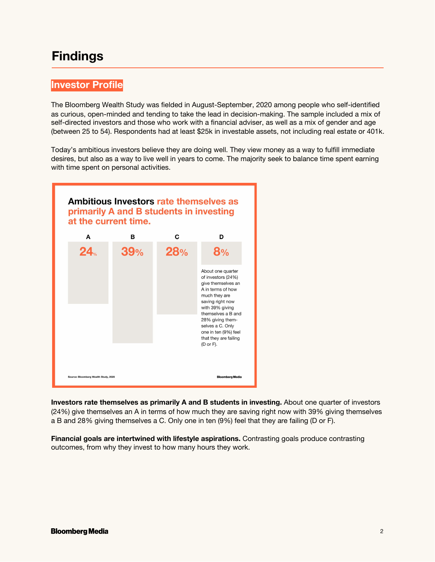# **Findings**

## **Investor Profile**

The Bloomberg Wealth Study was fielded in August-September, 2020 among people who self-identified as curious, open-minded and tending to take the lead in decision-making. The sample included a mix of self-directed investors and those who work with a financial adviser, as well as a mix of gender and age (between 25 to 54). Respondents had at least \$25k in investable assets, not including real estate or 401k.

Today's ambitious investors believe they are doing well. They view money as a way to fulfill immediate desires, but also as a way to live well in years to come. The majority seek to balance time spent earning with time spent on personal activities.



**Investors rate themselves as primarily A and B students in investing.** About one quarter of investors (24%) give themselves an A in terms of how much they are saving right now with 39% giving themselves a B and 28% giving themselves a C. Only one in ten (9%) feel that they are failing (D or F).

**Financial goals are intertwined with lifestyle aspirations.** Contrasting goals produce contrasting outcomes, from why they invest to how many hours they work.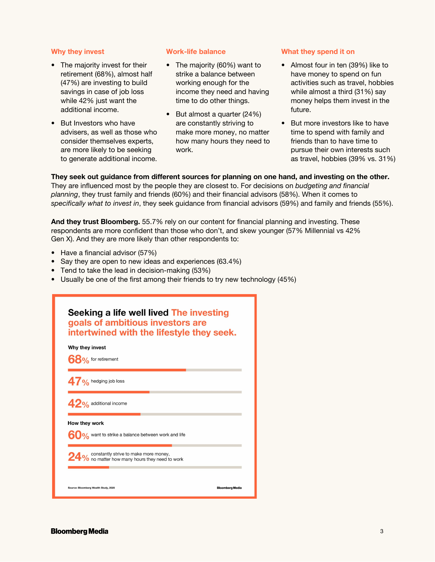## **Why they invest**

- The majority invest for their retirement (68%), almost half (47%) are investing to build savings in case of job loss while 42% just want the additional income.
- But Investors who have advisers, as well as those who consider themselves experts, are more likely to be seeking to generate additional income.

## **Work-life balance**

- The majority (60%) want to strike a balance between working enough for the income they need and having time to do other things.
- But almost a quarter (24%) are constantly striving to make more money, no matter how many hours they need to work.

#### **What they spend it on**

- Almost four in ten (39%) like to have money to spend on fun activities such as travel, hobbies while almost a third (31%) say money helps them invest in the future.
- But more investors like to have time to spend with family and friends than to have time to pursue their own interests such as travel, hobbies (39% vs. 31%)

## **They seek out guidance from different sources for planning on one hand, and investing on the other.**

They are influenced most by the people they are closest to. For decisions on *budgeting and financial planning*, they trust family and friends (60%) and their financial advisors (58%). When it comes to *specifically what to invest in*, they seek guidance from financial advisors (59%) and family and friends (55%).

**And they trust Bloomberg.** 55.7% rely on our content for financial planning and investing. These respondents are more confident than those who don't, and skew younger (57% Millennial vs 42% Gen X). And they are more likely than other respondents to:

- Have a financial advisor (57%)
- Say they are open to new ideas and experiences (63.4%)
- Tend to take the lead in decision-making (53%)
- Usually be one of the first among their friends to try new technology (45%)

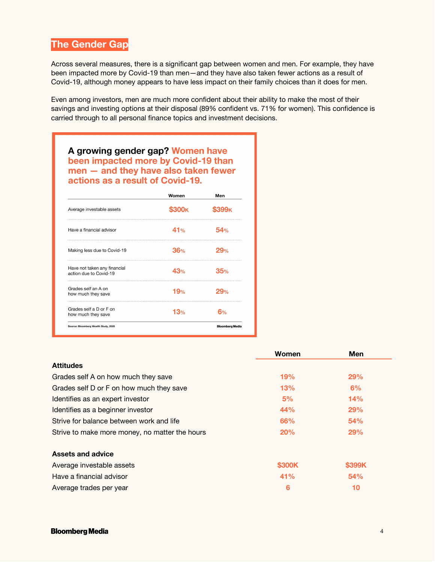# **The Gender Gap**

Across several measures, there is a significant gap between women and men. For example, they have been impacted more by Covid-19 than men—and they have also taken fewer actions as a result of Covid-19, although money appears to have less impact on their family choices than it does for men.

Even among investors, men are much more confident about their ability to make the most of their savings and investing options at their disposal (89% confident vs. 71% for women). This confidence is carried through to all personal finance topics and investment decisions.

A growing gender gap? Women have been impacted more by Covid-19 than men - and they have also taken fewer actions as a result of Covid-19.

|                                                        | Women | Men                    |
|--------------------------------------------------------|-------|------------------------|
| Average investable assets                              | 300ĸ  | 99ĸ                    |
| Have a financial advisor                               | 41%   | 54%                    |
| Making less due to Covid-19                            | 36%   | 29%                    |
| Have not taken any financial<br>action due to Covid-19 | 43%   | 35%                    |
| Grades self an A on<br>how much they save              | 19%   | 29%                    |
| Grades self a D or F on<br>how much they save          | 13%   | 6%                     |
| Source: Bloomberg Wealth Study, 2020                   |       | <b>Bloomberg Media</b> |

|                                                | Women      | <b>Men</b> |
|------------------------------------------------|------------|------------|
| <b>Attitudes</b>                               |            |            |
| Grades self A on how much they save            | 19%        | 29%        |
| Grades self D or F on how much they save       | 13%        | 6%         |
| Identifies as an expert investor               | 5%         | 14%        |
| Identifies as a beginner investor              | 44%        | 29%        |
| Strive for balance between work and life       | <b>66%</b> | <b>54%</b> |
| Strive to make more money, no matter the hours | 20%        | <b>29%</b> |
| <b>Assets and advice</b>                       |            |            |
| Average investable assets                      | \$300K     | \$399K     |
| Have a financial advisor                       | 41%        | 54%        |
| Average trades per year                        | 6          | 10         |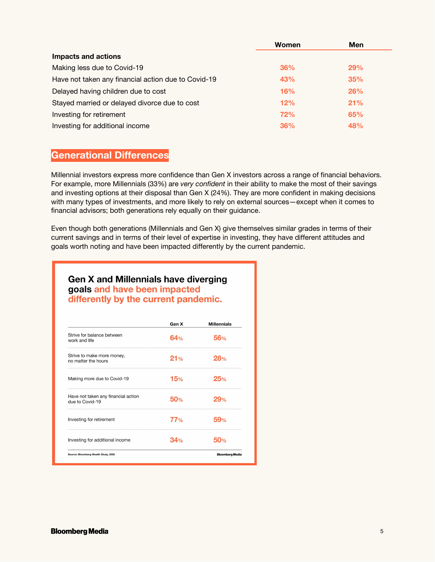|                                                     | Women | <b>Men</b> |
|-----------------------------------------------------|-------|------------|
| Impacts and actions                                 |       |            |
| Making less due to Covid-19                         | 36%   | 29%        |
| Have not taken any financial action due to Covid-19 | 43%   | 35%        |
| Delayed having children due to cost                 | 16%   | 26%        |
| Stayed married or delayed divorce due to cost       | 12%   | 21%        |
| Investing for retirement                            | 72%   | 65%        |
| Investing for additional income                     | 36%   | 48%        |

## **Generational Differences**

Millennial investors express more confidence than Gen X investors across a range of financial behaviors. For example, more Millennials (33%) are *very confident* in their ability to make the most of their savings and investing options at their disposal than Gen X (24%). They are more confident in making decisions with many types of investments, and more likely to rely on external sources—except when it comes to financial advisors; both generations rely equally on their guidance.

Even though both generations (Millennials and Gen X) give themselves similar grades in terms of their current savings and in terms of their level of expertise in investing, they have different attitudes and goals worth noting and have been impacted differently by the current pandemic.

## **Gen X and Millennials have diverging** goals and have been impacted differently by the current pandemic.

|                                                        | Gen X | <b>Millennials</b>     |
|--------------------------------------------------------|-------|------------------------|
| Strive for balance between<br>work and life            | 64%   | 56%                    |
| Strive to make more money,<br>no matter the hours      | 21%   | 28%                    |
| Making more due to Covid-19                            | 15%   | 25%                    |
| Have not taken any financial action<br>due to Covid-19 | 50%   | $O_{0/2}$              |
| Investing for retirement                               | 77%   | 59%                    |
| Investing for additional income                        | 240/  |                        |
| Source: Bloomberg Wealth Study, 2020                   |       | <b>Bloomberg Media</b> |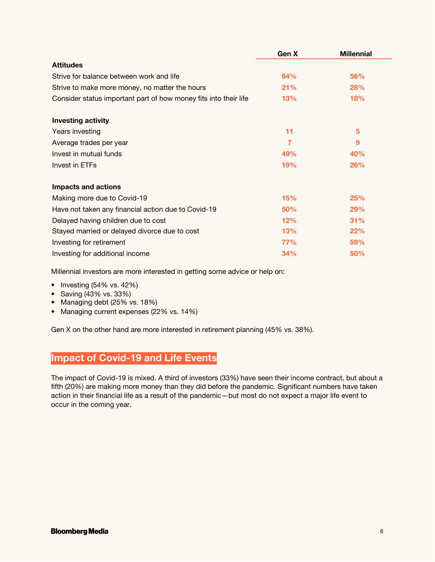|                                                                  | Gen X      | <b>Millennial</b> |
|------------------------------------------------------------------|------------|-------------------|
| <b>Attitudes</b>                                                 |            |                   |
| Strive for balance between work and life                         | <b>64%</b> | <b>56%</b>        |
| Strive to make more money, no matter the hours                   | 21%        | <b>28%</b>        |
| Consider status important part of how money fits into their life | 13%        | 18%               |
| <b>Investing activity</b>                                        |            |                   |
| Years investing                                                  | 11         | 5                 |
| Average trades per year                                          | 7          | 9                 |
| Invest in mutual funds                                           | 49%        | 40%               |
| Invest in ETFs                                                   | 19%        | 26%               |
| <b>Impacts and actions</b>                                       |            |                   |
| Making more due to Covid-19                                      | 15%        | 25%               |
| Have not taken any financial action due to Covid-19              | 50%        | 29%               |
| Delayed having children due to cost                              | 12%        | 31%               |
| Stayed married or delayed divorce due to cost                    | 13%        | 22%               |
| Investing for retirement                                         | <b>77%</b> | 59%               |
| Investing for additional income                                  | 34%        | 50%               |

Millennial investors are more interested in getting some advice or help on:

- Investing (54% vs. 42%)
- Saving (43% vs. 33%)
- Managing debt (25% vs. 18%)
- Managing current expenses (22% vs. 14%)

Gen X on the other hand are more interested in retirement planning (45% vs. 38%).

# **Impact of Covid-19 and Life Events**

The impact of Covid-19 is mixed. A third of investors (33%) have seen their income contract, but about a fifth (20%) are making more money than they did before the pandemic. Significant numbers have taken action in their financial life as a result of the pandemic—but most do not expect a major life event to occur in the coming year.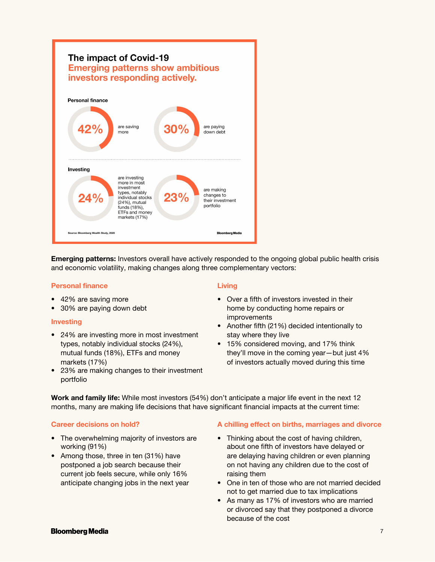

**Emerging patterns:** Investors overall have actively responded to the ongoing global public health crisis and economic volatility, making changes along three complementary vectors:

## **Personal finance**

- 42% are saving more
- 30% are paying down debt

#### **Investing**

- 24% are investing more in most investment types, notably individual stocks (24%), mutual funds (18%), ETFs and money markets (17%)
- 23% are making changes to their investment portfolio

## **Living**

- Over a fifth of investors invested in their home by conducting home repairs or improvements
- Another fifth (21%) decided intentionally to stay where they live
- 15% considered moving, and 17% think they'll move in the coming year—but just 4% of investors actually moved during this time

**Work and family life:** While most investors (54%) don't anticipate a major life event in the next 12 months, many are making life decisions that have significant financial impacts at the current time:

#### **Career decisions on hold?**

- The overwhelming majority of investors are working (91%)
- Among those, three in ten (31%) have postponed a job search because their current job feels secure, while only 16% anticipate changing jobs in the next year

## **A chilling effect on births, marriages and divorce**

- Thinking about the cost of having children. about one fifth of investors have delayed or are delaying having children or even planning on not having any children due to the cost of raising them
- One in ten of those who are not married decided not to get married due to tax implications
- As many as 17% of investors who are married or divorced say that they postponed a divorce because of the cost